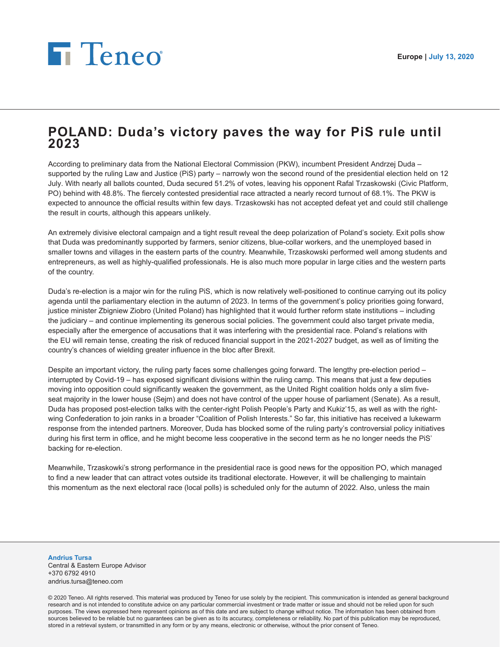## **F** Teneo

## **POLAND: Duda's victory paves the way for PiS rule until 2023**

According to preliminary data from the National Electoral Commission (PKW), incumbent President Andrzej Duda – supported by the ruling Law and Justice (PiS) party – narrowly won the second round of the presidential election held on 12 July. With nearly all ballots counted, Duda secured 51.2% of votes, leaving his opponent Rafal Trzaskowski (Civic Platform, PO) behind with 48.8%. The fiercely contested presidential race attracted a nearly record turnout of 68.1%. The PKW is expected to announce the official results within few days. Trzaskowski has not accepted defeat yet and could still challenge the result in courts, although this appears unlikely.

An extremely divisive electoral campaign and a tight result reveal the deep polarization of Poland's society. Exit polls show that Duda was predominantly supported by farmers, senior citizens, blue-collar workers, and the unemployed based in smaller towns and villages in the eastern parts of the country. Meanwhile, Trzaskowski performed well among students and entrepreneurs, as well as highly-qualified professionals. He is also much more popular in large cities and the western parts of the country.

Duda's re-election is a major win for the ruling PiS, which is now relatively well-positioned to continue carrying out its policy agenda until the parliamentary election in the autumn of 2023. In terms of the government's policy priorities going forward, justice minister Zbigniew Ziobro (United Poland) has highlighted that it would further reform state institutions – including the judiciary – and continue implementing its generous social policies. The government could also target private media, especially after the emergence of accusations that it was interfering with the presidential race. Poland's relations with the EU will remain tense, creating the risk of reduced financial support in the 2021-2027 budget, as well as of limiting the country's chances of wielding greater influence in the bloc after Brexit.

Despite an important victory, the ruling party faces some challenges going forward. The lengthy pre-election period – interrupted by Covid-19 – has exposed significant divisions within the ruling camp. This means that just a few deputies moving into opposition could significantly weaken the government, as the United Right coalition holds only a slim fiveseat majority in the lower house (Sejm) and does not have control of the upper house of parliament (Senate). As a result, Duda has proposed post-election talks with the center-right Polish People's Party and Kukiz'15, as well as with the rightwing Confederation to join ranks in a broader "Coalition of Polish Interests." So far, this initiative has received a lukewarm response from the intended partners. Moreover, Duda has blocked some of the ruling party's controversial policy initiatives during his first term in office, and he might become less cooperative in the second term as he no longer needs the PiS' backing for re-election.

Meanwhile, Trzaskowki's strong performance in the presidential race is good news for the opposition PO, which managed to find a new leader that can attract votes outside its traditional electorate. However, it will be challenging to maintain this momentum as the next electoral race (local polls) is scheduled only for the autumn of 2022. Also, unless the main

**Andrius Tursa** Central & Eastern Europe Advisor +370 6792 4910 andrius.tursa@teneo.com

© 2020 Teneo. All rights reserved. This material was produced by Teneo for use solely by the recipient. This communication is intended as general background research and is not intended to constitute advice on any particular commercial investment or trade matter or issue and should not be relied upon for such purposes. The views expressed here represent opinions as of this date and are subject to change without notice. The information has been obtained from sources believed to be reliable but no guarantees can be given as to its accuracy, completeness or reliability. No part of this publication may be reproduced, stored in a retrieval system, or transmitted in any form or by any means, electronic or otherwise, without the prior consent of Teneo.